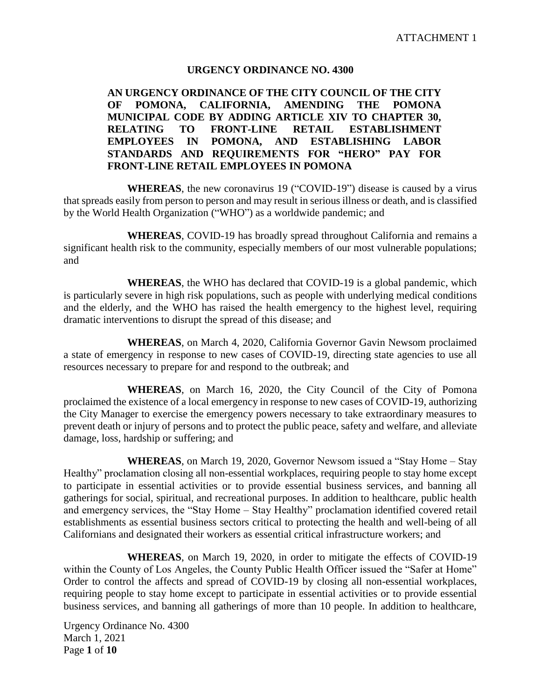## **URGENCY ORDINANCE NO. 4300**

# **AN URGENCY ORDINANCE OF THE CITY COUNCIL OF THE CITY OF POMONA, CALIFORNIA, AMENDING THE POMONA MUNICIPAL CODE BY ADDING ARTICLE XIV TO CHAPTER 30, RELATING TO FRONT-LINE RETAIL ESTABLISHMENT EMPLOYEES IN POMONA, AND ESTABLISHING LABOR STANDARDS AND REQUIREMENTS FOR "HERO" PAY FOR FRONT-LINE RETAIL EMPLOYEES IN POMONA**

**WHEREAS**, the new coronavirus 19 ("COVID-19") disease is caused by a virus that spreads easily from person to person and may result in serious illness or death, and is classified by the World Health Organization ("WHO") as a worldwide pandemic; and

**WHEREAS**, COVID-19 has broadly spread throughout California and remains a significant health risk to the community, especially members of our most vulnerable populations; and

**WHEREAS**, the WHO has declared that COVID-19 is a global pandemic, which is particularly severe in high risk populations, such as people with underlying medical conditions and the elderly, and the WHO has raised the health emergency to the highest level, requiring dramatic interventions to disrupt the spread of this disease; and

**WHEREAS**, on March 4, 2020, California Governor Gavin Newsom proclaimed a state of emergency in response to new cases of COVID-19, directing state agencies to use all resources necessary to prepare for and respond to the outbreak; and

**WHEREAS**, on March 16, 2020, the City Council of the City of Pomona proclaimed the existence of a local emergency in response to new cases of COVID-19, authorizing the City Manager to exercise the emergency powers necessary to take extraordinary measures to prevent death or injury of persons and to protect the public peace, safety and welfare, and alleviate damage, loss, hardship or suffering; and

**WHEREAS**, on March 19, 2020, Governor Newsom issued a "Stay Home – Stay Healthy" proclamation closing all non-essential workplaces, requiring people to stay home except to participate in essential activities or to provide essential business services, and banning all gatherings for social, spiritual, and recreational purposes. In addition to healthcare, public health and emergency services, the "Stay Home – Stay Healthy" proclamation identified covered retail establishments as essential business sectors critical to protecting the health and well-being of all Californians and designated their workers as essential critical infrastructure workers; and

**WHEREAS**, on March 19, 2020, in order to mitigate the effects of COVID-19 within the County of Los Angeles, the County Public Health Officer issued the "Safer at Home" Order to control the affects and spread of COVID-19 by closing all non-essential workplaces, requiring people to stay home except to participate in essential activities or to provide essential business services, and banning all gatherings of more than 10 people. In addition to healthcare,

Urgency Ordinance No. 4300 March 1, 2021 Page **1** of **10**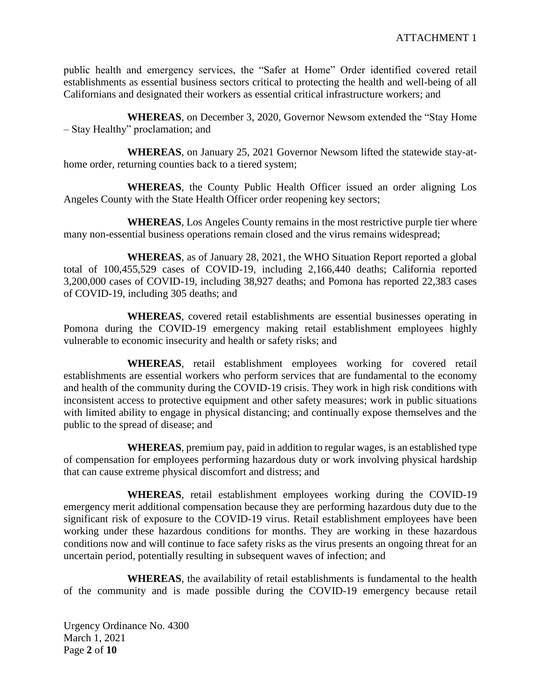public health and emergency services, the "Safer at Home" Order identified covered retail establishments as essential business sectors critical to protecting the health and well-being of all Californians and designated their workers as essential critical infrastructure workers; and

**WHEREAS**, on December 3, 2020, Governor Newsom extended the "Stay Home – Stay Healthy" proclamation; and

**WHEREAS**, on January 25, 2021 Governor Newsom lifted the statewide stay-athome order, returning counties back to a tiered system;

**WHEREAS**, the County Public Health Officer issued an order aligning Los Angeles County with the State Health Officer order reopening key sectors;

**WHEREAS**, Los Angeles County remains in the most restrictive purple tier where many non-essential business operations remain closed and the virus remains widespread;

**WHEREAS**, as of January 28, 2021, the WHO Situation Report reported a global total of 100,455,529 cases of COVID-19, including 2,166,440 deaths; California reported 3,200,000 cases of COVID-19, including 38,927 deaths; and Pomona has reported 22,383 cases of COVID-19, including 305 deaths; and

**WHEREAS**, covered retail establishments are essential businesses operating in Pomona during the COVID-19 emergency making retail establishment employees highly vulnerable to economic insecurity and health or safety risks; and

**WHEREAS**, retail establishment employees working for covered retail establishments are essential workers who perform services that are fundamental to the economy and health of the community during the COVID-19 crisis. They work in high risk conditions with inconsistent access to protective equipment and other safety measures; work in public situations with limited ability to engage in physical distancing; and continually expose themselves and the public to the spread of disease; and

**WHEREAS**, premium pay, paid in addition to regular wages, is an established type of compensation for employees performing hazardous duty or work involving physical hardship that can cause extreme physical discomfort and distress; and

**WHEREAS**, retail establishment employees working during the COVID-19 emergency merit additional compensation because they are performing hazardous duty due to the significant risk of exposure to the COVID-19 virus. Retail establishment employees have been working under these hazardous conditions for months. They are working in these hazardous conditions now and will continue to face safety risks as the virus presents an ongoing threat for an uncertain period, potentially resulting in subsequent waves of infection; and

**WHEREAS**, the availability of retail establishments is fundamental to the health of the community and is made possible during the COVID-19 emergency because retail

Urgency Ordinance No. 4300 March 1, 2021 Page **2** of **10**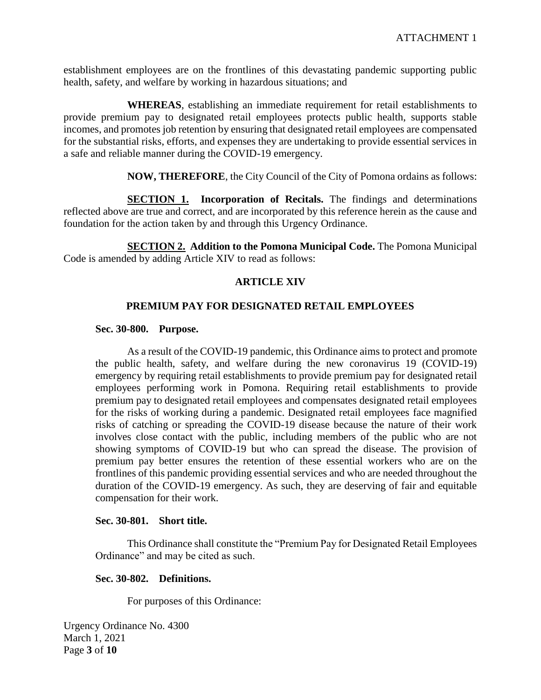establishment employees are on the frontlines of this devastating pandemic supporting public health, safety, and welfare by working in hazardous situations; and

**WHEREAS**, establishing an immediate requirement for retail establishments to provide premium pay to designated retail employees protects public health, supports stable incomes, and promotes job retention by ensuring that designated retail employees are compensated for the substantial risks, efforts, and expenses they are undertaking to provide essential services in a safe and reliable manner during the COVID-19 emergency.

**NOW, THEREFORE**, the City Council of the City of Pomona ordains as follows:

**SECTION 1. Incorporation of Recitals.** The findings and determinations reflected above are true and correct, and are incorporated by this reference herein as the cause and foundation for the action taken by and through this Urgency Ordinance.

**SECTION 2. Addition to the Pomona Municipal Code.** The Pomona Municipal Code is amended by adding Article XIV to read as follows:

## **ARTICLE XIV**

## **PREMIUM PAY FOR DESIGNATED RETAIL EMPLOYEES**

#### **Sec. 30-800. Purpose.**

As a result of the COVID-19 pandemic, this Ordinance aims to protect and promote the public health, safety, and welfare during the new coronavirus 19 (COVID-19) emergency by requiring retail establishments to provide premium pay for designated retail employees performing work in Pomona. Requiring retail establishments to provide premium pay to designated retail employees and compensates designated retail employees for the risks of working during a pandemic. Designated retail employees face magnified risks of catching or spreading the COVID-19 disease because the nature of their work involves close contact with the public, including members of the public who are not showing symptoms of COVID-19 but who can spread the disease. The provision of premium pay better ensures the retention of these essential workers who are on the frontlines of this pandemic providing essential services and who are needed throughout the duration of the COVID-19 emergency. As such, they are deserving of fair and equitable compensation for their work.

#### **Sec. 30-801. Short title.**

This Ordinance shall constitute the "Premium Pay for Designated Retail Employees Ordinance" and may be cited as such.

#### **Sec. 30-802. Definitions.**

For purposes of this Ordinance:

Urgency Ordinance No. 4300 March 1, 2021 Page **3** of **10**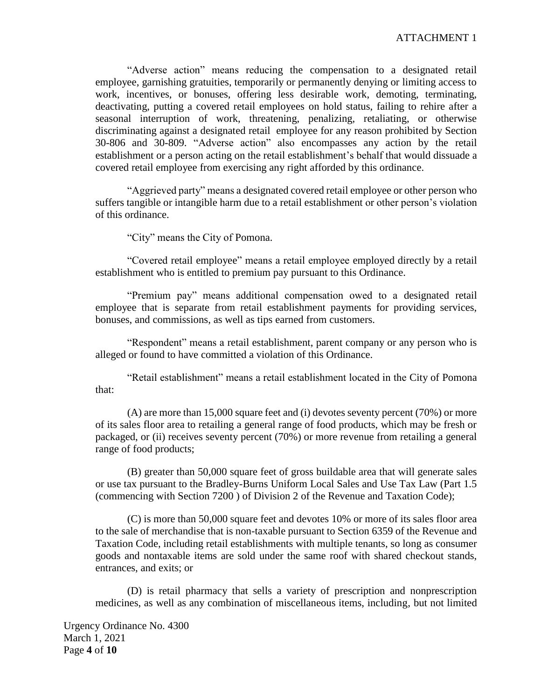"Adverse action" means reducing the compensation to a designated retail employee, garnishing gratuities, temporarily or permanently denying or limiting access to work, incentives, or bonuses, offering less desirable work, demoting, terminating, deactivating, putting a covered retail employees on hold status, failing to rehire after a seasonal interruption of work, threatening, penalizing, retaliating, or otherwise discriminating against a designated retail employee for any reason prohibited by Section 30-806 and 30-809. "Adverse action" also encompasses any action by the retail establishment or a person acting on the retail establishment's behalf that would dissuade a covered retail employee from exercising any right afforded by this ordinance.

"Aggrieved party" means a designated covered retail employee or other person who suffers tangible or intangible harm due to a retail establishment or other person's violation of this ordinance.

"City" means the City of Pomona.

"Covered retail employee" means a retail employee employed directly by a retail establishment who is entitled to premium pay pursuant to this Ordinance.

"Premium pay" means additional compensation owed to a designated retail employee that is separate from retail establishment payments for providing services, bonuses, and commissions, as well as tips earned from customers.

"Respondent" means a retail establishment, parent company or any person who is alleged or found to have committed a violation of this Ordinance.

"Retail establishment" means a retail establishment located in the City of Pomona that:

(A) are more than 15,000 square feet and (i) devotes seventy percent (70%) or more of its sales floor area to retailing a general range of food products, which may be fresh or packaged, or (ii) receives seventy percent (70%) or more revenue from retailing a general range of food products;

(B) greater than 50,000 square feet of gross buildable area that will generate sales or use tax pursuant to the Bradley-Burns Uniform Local Sales and Use Tax Law (Part 1.5 (commencing with Section 7200 ) of Division 2 of the Revenue and Taxation Code);

(C) is more than 50,000 square feet and devotes 10% or more of its sales floor area to the sale of merchandise that is non-taxable pursuant to Section 6359 of the Revenue and Taxation Code, including retail establishments with multiple tenants, so long as consumer goods and nontaxable items are sold under the same roof with shared checkout stands, entrances, and exits; or

(D) is retail pharmacy that sells a variety of prescription and nonprescription medicines, as well as any combination of miscellaneous items, including, but not limited

Urgency Ordinance No. 4300 March 1, 2021 Page **4** of **10**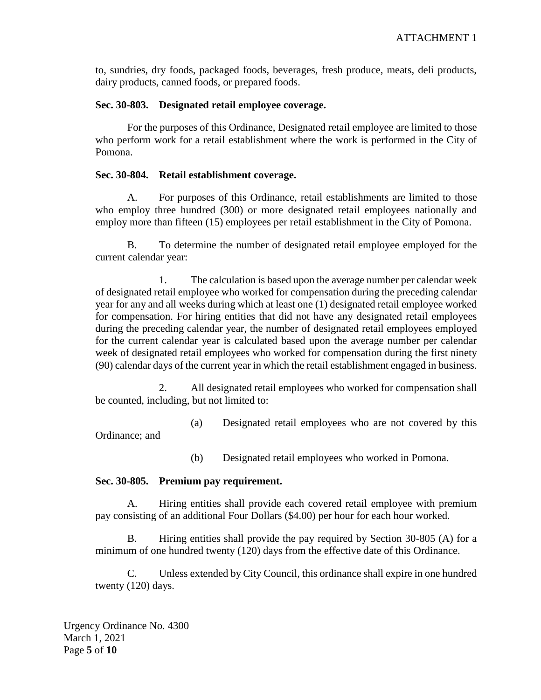to, sundries, dry foods, packaged foods, beverages, fresh produce, meats, deli products, dairy products, canned foods, or prepared foods.

#### **Sec. 30-803. Designated retail employee coverage.**

For the purposes of this Ordinance, Designated retail employee are limited to those who perform work for a retail establishment where the work is performed in the City of Pomona.

#### **Sec. 30-804. Retail establishment coverage.**

A. For purposes of this Ordinance, retail establishments are limited to those who employ three hundred (300) or more designated retail employees nationally and employ more than fifteen (15) employees per retail establishment in the City of Pomona.

B. To determine the number of designated retail employee employed for the current calendar year:

1. The calculation is based upon the average number per calendar week of designated retail employee who worked for compensation during the preceding calendar year for any and all weeks during which at least one (1) designated retail employee worked for compensation. For hiring entities that did not have any designated retail employees during the preceding calendar year, the number of designated retail employees employed for the current calendar year is calculated based upon the average number per calendar week of designated retail employees who worked for compensation during the first ninety (90) calendar days of the current year in which the retail establishment engaged in business.

2. All designated retail employees who worked for compensation shall be counted, including, but not limited to:

(a) Designated retail employees who are not covered by this Ordinance; and

(b) Designated retail employees who worked in Pomona.

## **Sec. 30-805. Premium pay requirement.**

A. Hiring entities shall provide each covered retail employee with premium pay consisting of an additional Four Dollars (\$4.00) per hour for each hour worked.

Hiring entities shall provide the pay required by Section 30-805 (A) for a minimum of one hundred twenty (120) days from the effective date of this Ordinance.

C. Unless extended by City Council, this ordinance shall expire in one hundred twenty (120) days.

Urgency Ordinance No. 4300 March 1, 2021 Page **5** of **10**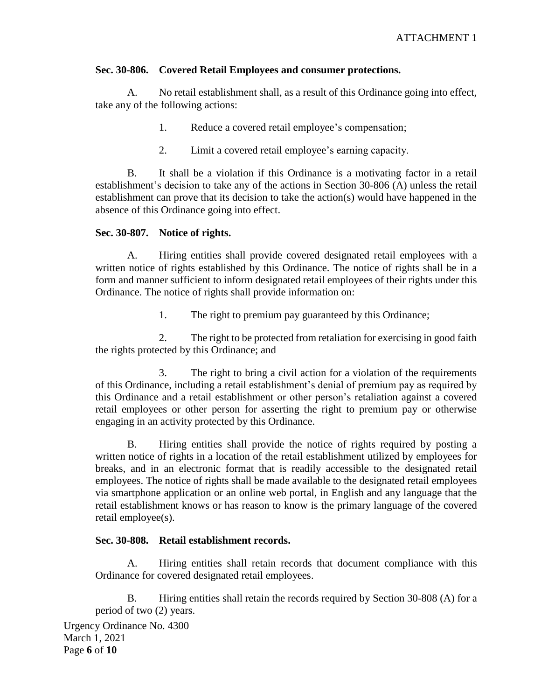# **Sec. 30-806. Covered Retail Employees and consumer protections.**

A. No retail establishment shall, as a result of this Ordinance going into effect, take any of the following actions:

- 1. Reduce a covered retail employee's compensation;
- 2. Limit a covered retail employee's earning capacity.

B. It shall be a violation if this Ordinance is a motivating factor in a retail establishment's decision to take any of the actions in Section 30-806 (A) unless the retail establishment can prove that its decision to take the action(s) would have happened in the absence of this Ordinance going into effect.

## **Sec. 30-807. Notice of rights.**

A. Hiring entities shall provide covered designated retail employees with a written notice of rights established by this Ordinance. The notice of rights shall be in a form and manner sufficient to inform designated retail employees of their rights under this Ordinance. The notice of rights shall provide information on:

1. The right to premium pay guaranteed by this Ordinance;

2. The right to be protected from retaliation for exercising in good faith the rights protected by this Ordinance; and

3. The right to bring a civil action for a violation of the requirements of this Ordinance, including a retail establishment's denial of premium pay as required by this Ordinance and a retail establishment or other person's retaliation against a covered retail employees or other person for asserting the right to premium pay or otherwise engaging in an activity protected by this Ordinance.

B. Hiring entities shall provide the notice of rights required by posting a written notice of rights in a location of the retail establishment utilized by employees for breaks, and in an electronic format that is readily accessible to the designated retail employees. The notice of rights shall be made available to the designated retail employees via smartphone application or an online web portal, in English and any language that the retail establishment knows or has reason to know is the primary language of the covered retail employee(s).

# **Sec. 30-808. Retail establishment records.**

A. Hiring entities shall retain records that document compliance with this Ordinance for covered designated retail employees.

B. Hiring entities shall retain the records required by Section 30-808 (A) for a period of two (2) years.

Urgency Ordinance No. 4300 March 1, 2021 Page **6** of **10**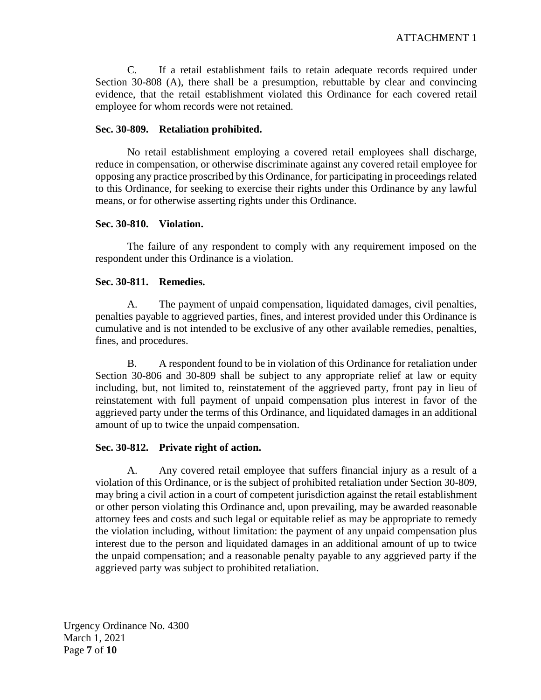C. If a retail establishment fails to retain adequate records required under Section 30-808 (A), there shall be a presumption, rebuttable by clear and convincing evidence, that the retail establishment violated this Ordinance for each covered retail employee for whom records were not retained.

#### **Sec. 30-809. Retaliation prohibited.**

No retail establishment employing a covered retail employees shall discharge, reduce in compensation, or otherwise discriminate against any covered retail employee for opposing any practice proscribed by this Ordinance, for participating in proceedings related to this Ordinance, for seeking to exercise their rights under this Ordinance by any lawful means, or for otherwise asserting rights under this Ordinance.

#### **Sec. 30-810. Violation.**

The failure of any respondent to comply with any requirement imposed on the respondent under this Ordinance is a violation.

## **Sec. 30-811. Remedies.**

A. The payment of unpaid compensation, liquidated damages, civil penalties, penalties payable to aggrieved parties, fines, and interest provided under this Ordinance is cumulative and is not intended to be exclusive of any other available remedies, penalties, fines, and procedures.

B. A respondent found to be in violation of this Ordinance for retaliation under Section 30-806 and 30-809 shall be subject to any appropriate relief at law or equity including, but, not limited to, reinstatement of the aggrieved party, front pay in lieu of reinstatement with full payment of unpaid compensation plus interest in favor of the aggrieved party under the terms of this Ordinance, and liquidated damages in an additional amount of up to twice the unpaid compensation.

## **Sec. 30-812. Private right of action.**

A. Any covered retail employee that suffers financial injury as a result of a violation of this Ordinance, or is the subject of prohibited retaliation under Section 30-809, may bring a civil action in a court of competent jurisdiction against the retail establishment or other person violating this Ordinance and, upon prevailing, may be awarded reasonable attorney fees and costs and such legal or equitable relief as may be appropriate to remedy the violation including, without limitation: the payment of any unpaid compensation plus interest due to the person and liquidated damages in an additional amount of up to twice the unpaid compensation; and a reasonable penalty payable to any aggrieved party if the aggrieved party was subject to prohibited retaliation.

Urgency Ordinance No. 4300 March 1, 2021 Page **7** of **10**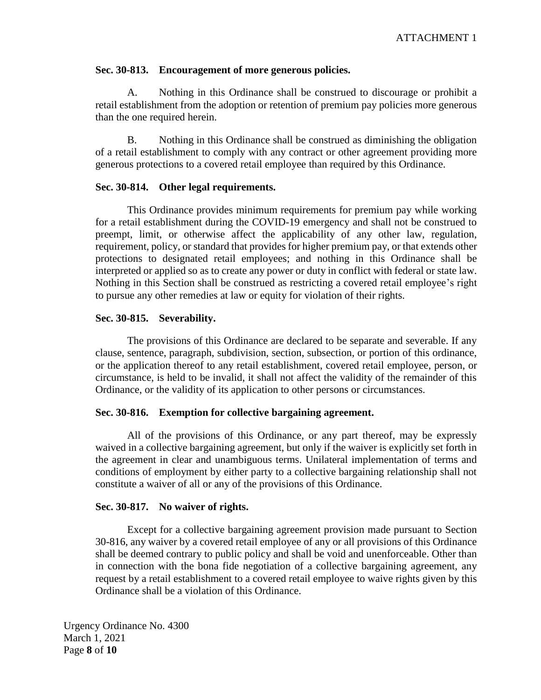#### **Sec. 30-813. Encouragement of more generous policies.**

A. Nothing in this Ordinance shall be construed to discourage or prohibit a retail establishment from the adoption or retention of premium pay policies more generous than the one required herein.

B. Nothing in this Ordinance shall be construed as diminishing the obligation of a retail establishment to comply with any contract or other agreement providing more generous protections to a covered retail employee than required by this Ordinance.

#### **Sec. 30-814. Other legal requirements.**

This Ordinance provides minimum requirements for premium pay while working for a retail establishment during the COVID-19 emergency and shall not be construed to preempt, limit, or otherwise affect the applicability of any other law, regulation, requirement, policy, or standard that provides for higher premium pay, or that extends other protections to designated retail employees; and nothing in this Ordinance shall be interpreted or applied so as to create any power or duty in conflict with federal or state law. Nothing in this Section shall be construed as restricting a covered retail employee's right to pursue any other remedies at law or equity for violation of their rights.

#### **Sec. 30-815. Severability.**

The provisions of this Ordinance are declared to be separate and severable. If any clause, sentence, paragraph, subdivision, section, subsection, or portion of this ordinance, or the application thereof to any retail establishment, covered retail employee, person, or circumstance, is held to be invalid, it shall not affect the validity of the remainder of this Ordinance, or the validity of its application to other persons or circumstances.

#### **Sec. 30-816. Exemption for collective bargaining agreement.**

All of the provisions of this Ordinance, or any part thereof, may be expressly waived in a collective bargaining agreement, but only if the waiver is explicitly set forth in the agreement in clear and unambiguous terms. Unilateral implementation of terms and conditions of employment by either party to a collective bargaining relationship shall not constitute a waiver of all or any of the provisions of this Ordinance.

#### **Sec. 30-817. No waiver of rights.**

Except for a collective bargaining agreement provision made pursuant to Section 30-816, any waiver by a covered retail employee of any or all provisions of this Ordinance shall be deemed contrary to public policy and shall be void and unenforceable. Other than in connection with the bona fide negotiation of a collective bargaining agreement, any request by a retail establishment to a covered retail employee to waive rights given by this Ordinance shall be a violation of this Ordinance.

Urgency Ordinance No. 4300 March 1, 2021 Page **8** of **10**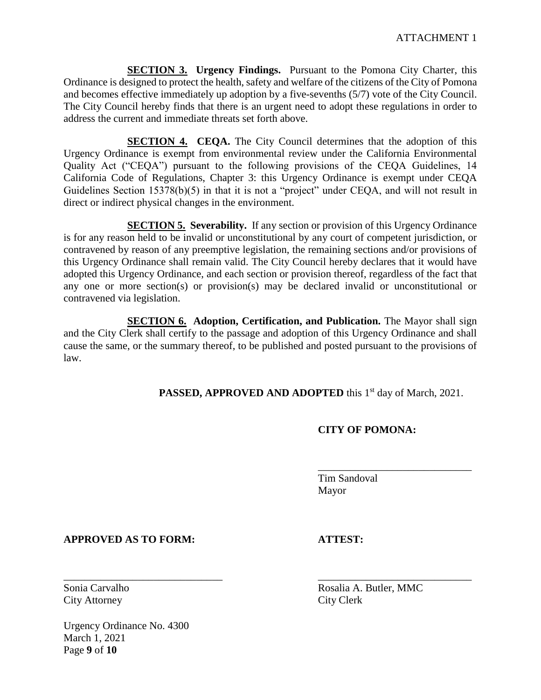**SECTION 3. Urgency Findings.** Pursuant to the Pomona City Charter, this Ordinance is designed to protect the health, safety and welfare of the citizens of the City of Pomona and becomes effective immediately up adoption by a five-sevenths (5/7) vote of the City Council. The City Council hereby finds that there is an urgent need to adopt these regulations in order to address the current and immediate threats set forth above.

**SECTION 4. CEQA.** The City Council determines that the adoption of this Urgency Ordinance is exempt from environmental review under the California Environmental Quality Act ("CEQA") pursuant to the following provisions of the CEQA Guidelines, 14 California Code of Regulations, Chapter 3: this Urgency Ordinance is exempt under CEQA Guidelines Section 15378(b)(5) in that it is not a "project" under CEQA, and will not result in direct or indirect physical changes in the environment.

**SECTION 5. Severability.** If any section or provision of this Urgency Ordinance is for any reason held to be invalid or unconstitutional by any court of competent jurisdiction, or contravened by reason of any preemptive legislation, the remaining sections and/or provisions of this Urgency Ordinance shall remain valid. The City Council hereby declares that it would have adopted this Urgency Ordinance, and each section or provision thereof, regardless of the fact that any one or more section(s) or provision(s) may be declared invalid or unconstitutional or contravened via legislation.

**SECTION 6. Adoption, Certification, and Publication.** The Mayor shall sign and the City Clerk shall certify to the passage and adoption of this Urgency Ordinance and shall cause the same, or the summary thereof, to be published and posted pursuant to the provisions of law.

\_\_\_\_\_\_\_\_\_\_\_\_\_\_\_\_\_\_\_\_\_\_\_\_\_\_\_\_\_\_ \_\_\_\_\_\_\_\_\_\_\_\_\_\_\_\_\_\_\_\_\_\_\_\_\_\_\_\_\_

PASSED, APPROVED AND ADOPTED this 1<sup>st</sup> day of March, 2021.

# **CITY OF POMONA:**

\_\_\_\_\_\_\_\_\_\_\_\_\_\_\_\_\_\_\_\_\_\_\_\_\_\_\_\_\_

Tim Sandoval Mayor

# **APPROVED AS TO FORM: ATTEST:**

City Attorney City Clerk

Urgency Ordinance No. 4300 March 1, 2021 Page **9** of **10**

Sonia Carvalho Rosalia A. Butler, MMC